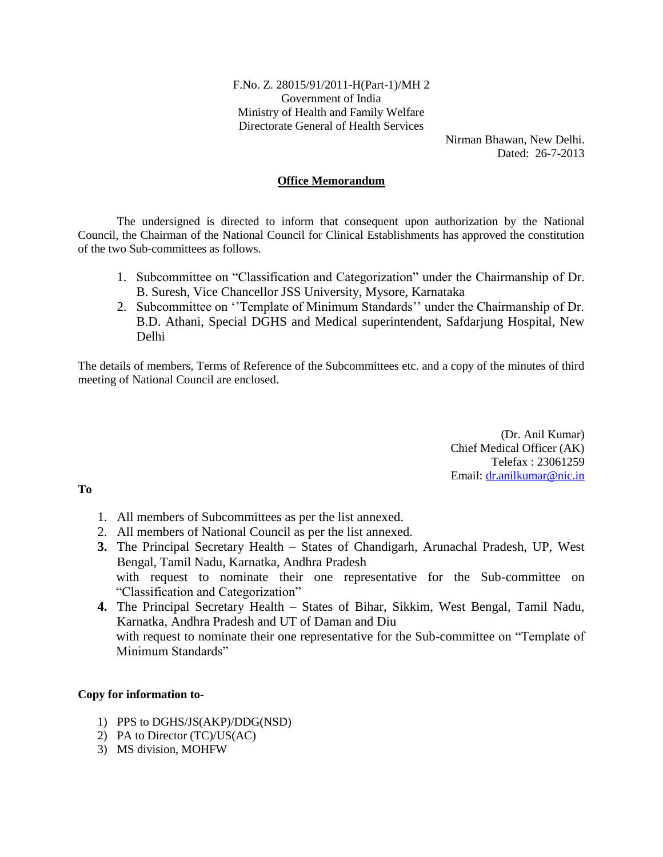F.No. Z. 28015/91/2011-H(Part-1)/MH 2 Government of India Ministry of Health and Family Welfare Directorate General of Health Services

> Nirman Bhawan, New Delhi. Dated: 26-7-2013

### **Office Memorandum**

The undersigned is directed to inform that consequent upon authorization by the National Council, the Chairman of the National Council for Clinical Establishments has approved the constitution of the two Sub-committees as follows.

- 1. Subcommittee on "Classification and Categorization" under the Chairmanship of Dr. B. Suresh, Vice Chancellor JSS University, Mysore, Karnataka
- 2. Subcommittee on ''Template of Minimum Standards'' under the Chairmanship of Dr. B.D. Athani, Special DGHS and Medical superintendent, Safdarjung Hospital, New Delhi

The details of members, Terms of Reference of the Subcommittees etc. and a copy of the minutes of third meeting of National Council are enclosed.

> (Dr. Anil Kumar) Chief Medical Officer (AK) Telefax : 23061259 Email: [dr.anilkumar@nic.in](mailto:dr.anilkumar@nic.in)

### **To**

- 1. All members of Subcommittees as per the list annexed.
- 2. All members of National Council as per the list annexed.
- **3.** The Principal Secretary Health States of Chandigarh, Arunachal Pradesh, UP, West Bengal, Tamil Nadu, Karnatka, Andhra Pradesh with request to nominate their one representative for the Sub-committee on "Classification and Categorization"
- **4.** The Principal Secretary Health States of Bihar, Sikkim, West Bengal, Tamil Nadu, Karnatka, Andhra Pradesh and UT of Daman and Diu with request to nominate their one representative for the Sub-committee on "Template of Minimum Standards"

### **Copy for information to-**

- 1) PPS to DGHS/JS(AKP)/DDG(NSD)
- 2) PA to Director (TC)/US(AC)
- 3) MS division, MOHFW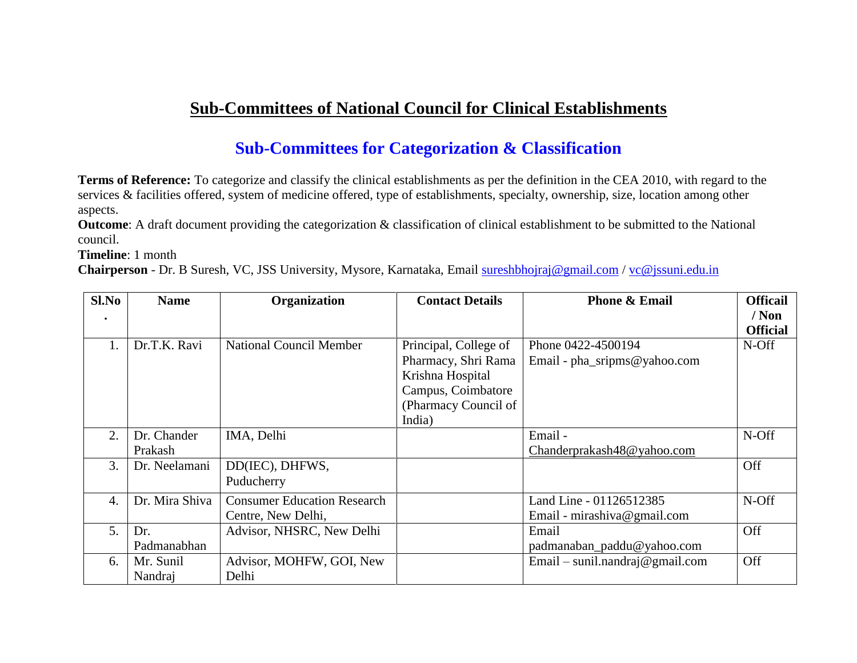# **Sub-Committees of National Council for Clinical Establishments**

## **Sub-Committees for Categorization & Classification**

**Terms of Reference:** To categorize and classify the clinical establishments as per the definition in the CEA 2010, with regard to the services & facilities offered, system of medicine offered, type of establishments, specialty, ownership, size, location among other aspects.

**Outcome**: A draft document providing the categorization & classification of clinical establishment to be submitted to the National council.

**Timeline**: 1 month

**Chairperson** - Dr. B Suresh, VC, JSS University, Mysore, Karnataka, Email [sureshbhojraj@gmail.com](mailto:sureshbhojraj@gmail.com) / [vc@jssuni.edu.in](mailto:vc@jssuni.edu.in)

| Sl.No            | <b>Name</b>    | Organization                       | <b>Contact Details</b> | <b>Phone &amp; Email</b>        | <b>Officail</b> |
|------------------|----------------|------------------------------------|------------------------|---------------------------------|-----------------|
| ٠                |                |                                    |                        |                                 | $/$ Non         |
|                  |                |                                    |                        |                                 | <b>Official</b> |
|                  | Dr.T.K. Ravi   | <b>National Council Member</b>     | Principal, College of  | Phone 0422-4500194              | N-Off           |
|                  |                |                                    | Pharmacy, Shri Rama    | Email - pha_sripms@yahoo.com    |                 |
|                  |                |                                    | Krishna Hospital       |                                 |                 |
|                  |                |                                    | Campus, Coimbatore     |                                 |                 |
|                  |                |                                    | (Pharmacy Council of   |                                 |                 |
|                  |                |                                    | India)                 |                                 |                 |
| 2.               | Dr. Chander    | IMA, Delhi                         |                        | Email-                          | N-Off           |
|                  | Prakash        |                                    |                        | Chanderprakash48@yahoo.com      |                 |
| 3.               | Dr. Neelamani  | DD(IEC), DHFWS,                    |                        |                                 | Off             |
|                  |                | Puducherry                         |                        |                                 |                 |
| $\overline{4}$ . | Dr. Mira Shiva | <b>Consumer Education Research</b> |                        | Land Line - 01126512385         | N-Off           |
|                  |                | Centre, New Delhi,                 |                        | Email - mirashiva@gmail.com     |                 |
| 5.               | Dr.            | Advisor, NHSRC, New Delhi          |                        | Email                           | Off             |
|                  | Padmanabhan    |                                    |                        | padmanaban_paddu@yahoo.com      |                 |
| 6.               | Mr. Sunil      | Advisor, MOHFW, GOI, New           |                        | Email – sunil.nandraj@gmail.com | Off             |
|                  | Nandraj        | Delhi                              |                        |                                 |                 |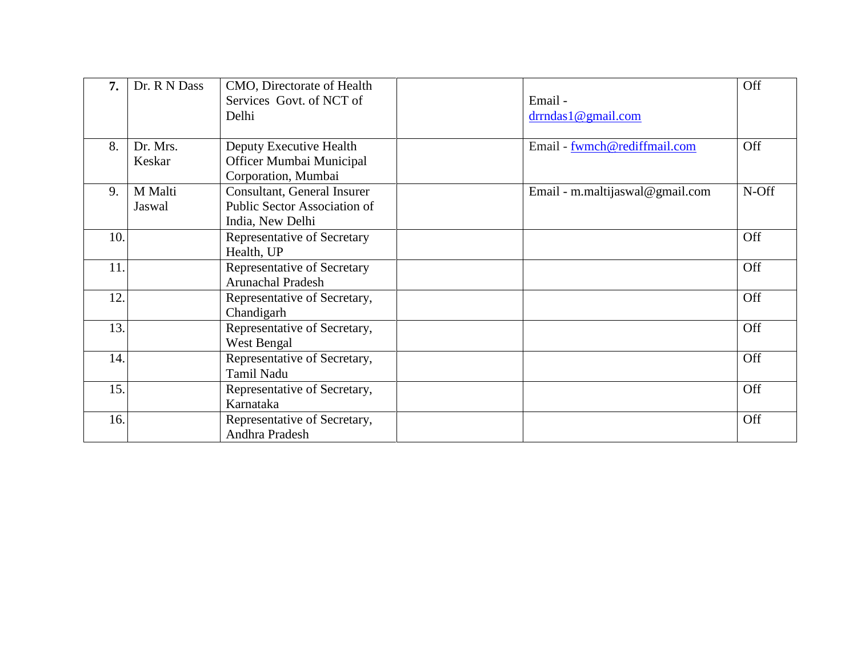| 7.  | Dr. R N Dass | CMO, Directorate of Health          |                                 | Off   |
|-----|--------------|-------------------------------------|---------------------------------|-------|
|     |              | Services Govt. of NCT of            | Email-                          |       |
|     |              | Delhi                               | drndas1@gmail.com               |       |
|     |              |                                     |                                 |       |
| 8.  | Dr. Mrs.     | Deputy Executive Health             | Email - fwmch@rediffmail.com    | Off   |
|     | Keskar       | Officer Mumbai Municipal            |                                 |       |
|     |              | Corporation, Mumbai                 |                                 |       |
| 9.  | M Malti      | Consultant, General Insurer         | Email - m.maltijaswal@gmail.com | N-Off |
|     | Jaswal       | <b>Public Sector Association of</b> |                                 |       |
|     |              | India, New Delhi                    |                                 |       |
| 10. |              | Representative of Secretary         |                                 | Off   |
|     |              | Health, UP                          |                                 |       |
| 11. |              | Representative of Secretary         |                                 | Off   |
|     |              | <b>Arunachal Pradesh</b>            |                                 |       |
| 12. |              | Representative of Secretary,        |                                 | Off   |
|     |              | Chandigarh                          |                                 |       |
| 13. |              | Representative of Secretary,        |                                 | Off   |
|     |              | West Bengal                         |                                 |       |
| 14. |              | Representative of Secretary,        |                                 | Off   |
|     |              | Tamil Nadu                          |                                 |       |
| 15. |              | Representative of Secretary,        |                                 | Off   |
|     |              | Karnataka                           |                                 |       |
| 16. |              | Representative of Secretary,        |                                 | Off   |
|     |              | Andhra Pradesh                      |                                 |       |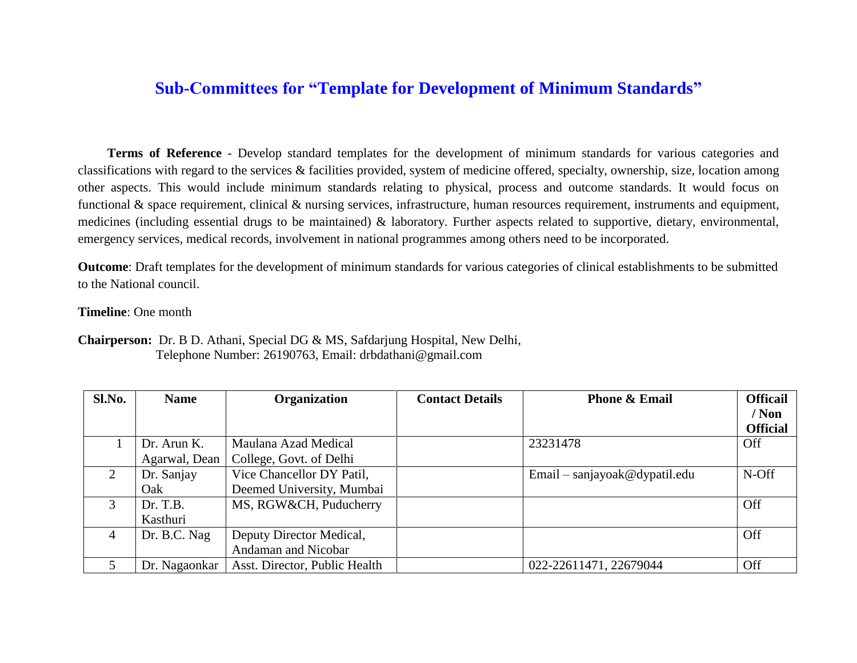### **Sub-Committees for "Template for Development of Minimum Standards"**

 **Terms of Reference** - Develop standard templates for the development of minimum standards for various categories and classifications with regard to the services & facilities provided, system of medicine offered, specialty, ownership, size, location among other aspects. This would include minimum standards relating to physical, process and outcome standards. It would focus on functional & space requirement, clinical & nursing services, infrastructure, human resources requirement, instruments and equipment, medicines (including essential drugs to be maintained) & laboratory. Further aspects related to supportive, dietary, environmental, emergency services, medical records, involvement in national programmes among others need to be incorporated.

**Outcome**: Draft templates for the development of minimum standards for various categories of clinical establishments to be submitted to the National council.

**Timeline**: One month

**Chairperson:** Dr. B D. Athani, Special DG & MS, Safdarjung Hospital, New Delhi, Telephone Number: 26190763, Email: drbdathani@gmail.com

| Sl.No.                      | <b>Name</b>   | <b>Organization</b>           | <b>Contact Details</b> | <b>Phone &amp; Email</b>      | <b>Officail</b> |
|-----------------------------|---------------|-------------------------------|------------------------|-------------------------------|-----------------|
|                             |               |                               |                        |                               | / Non           |
|                             |               |                               |                        |                               | <b>Official</b> |
|                             | Dr. Arun K.   | Maulana Azad Medical          |                        | 23231478                      | Off             |
|                             | Agarwal, Dean | College, Govt. of Delhi       |                        |                               |                 |
| $\mathcal{D}_{\mathcal{L}}$ | Dr. Sanjay    | Vice Chancellor DY Patil,     |                        | Email – sanjayoak@dypatil.edu | N-Off           |
|                             | Oak           | Deemed University, Mumbai     |                        |                               |                 |
| 3                           | Dr. T.B.      | MS, RGW&CH, Puducherry        |                        |                               | Off             |
|                             | Kasthuri      |                               |                        |                               |                 |
| 4                           | Dr. B.C. Nag  | Deputy Director Medical,      |                        |                               | <b>Off</b>      |
|                             |               | Andaman and Nicobar           |                        |                               |                 |
|                             | Dr. Nagaonkar | Asst. Director, Public Health |                        | 022-22611471, 22679044        | Off             |